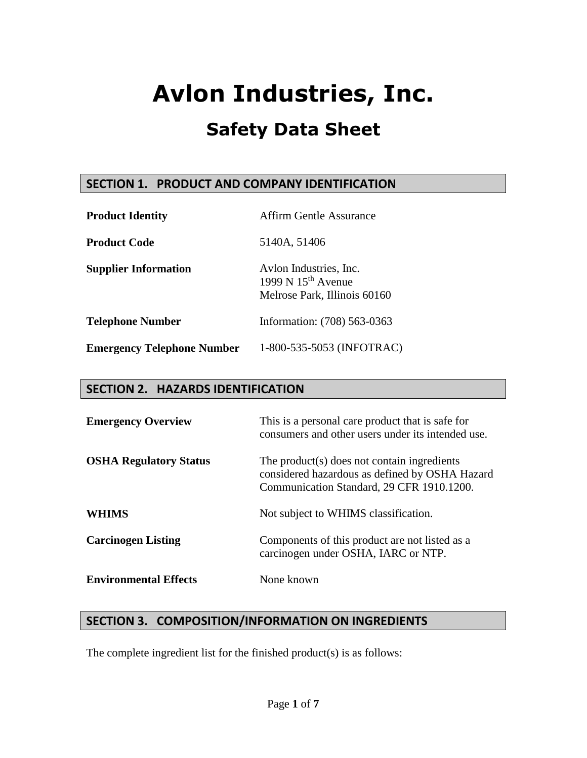### **SECTION 1. PRODUCT AND COMPANY IDENTIFICATION**

| <b>Product Identity</b>           | Affirm Gentle Assurance                                                        |
|-----------------------------------|--------------------------------------------------------------------------------|
| <b>Product Code</b>               | 5140A, 51406                                                                   |
| <b>Supplier Information</b>       | Avlon Industries, Inc.<br>1999 N $15th$ Avenue<br>Melrose Park, Illinois 60160 |
| <b>Telephone Number</b>           | Information: (708) 563-0363                                                    |
| <b>Emergency Telephone Number</b> | 1-800-535-5053 (INFOTRAC)                                                      |

### **SECTION 2. HAZARDS IDENTIFICATION**

| <b>Emergency Overview</b>     | This is a personal care product that is safe for<br>consumers and other users under its intended use.                                      |
|-------------------------------|--------------------------------------------------------------------------------------------------------------------------------------------|
| <b>OSHA Regulatory Status</b> | The product(s) does not contain ingredients<br>considered hazardous as defined by OSHA Hazard<br>Communication Standard, 29 CFR 1910.1200. |
| <b>WHIMS</b>                  | Not subject to WHIMS classification.                                                                                                       |
| <b>Carcinogen Listing</b>     | Components of this product are not listed as a<br>carcinogen under OSHA, IARC or NTP.                                                      |
| <b>Environmental Effects</b>  | None known                                                                                                                                 |

### **SECTION 3. COMPOSITION/INFORMATION ON INGREDIENTS**

The complete ingredient list for the finished product(s) is as follows: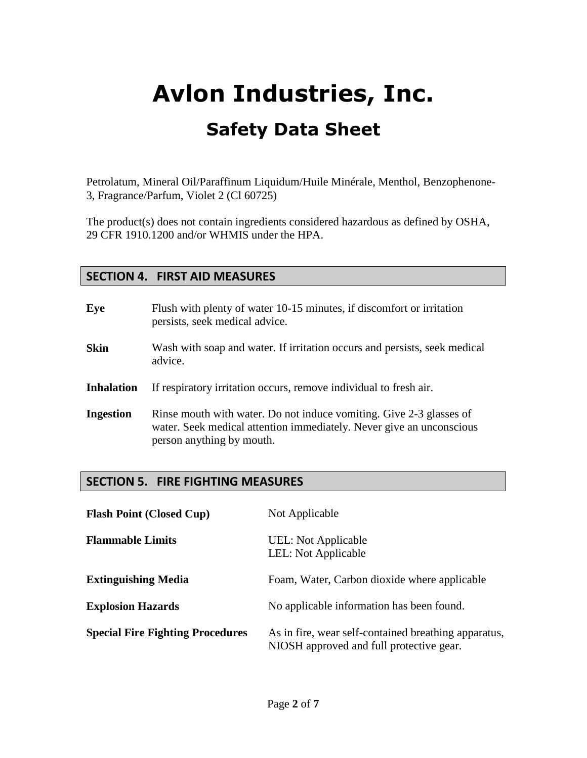Petrolatum, Mineral Oil/Paraffinum Liquidum/Huile Minérale, Menthol, Benzophenone-3, Fragrance/Parfum, Violet 2 (Cl 60725)

The product(s) does not contain ingredients considered hazardous as defined by OSHA, 29 CFR 1910.1200 and/or WHMIS under the HPA.

### **SECTION 4. FIRST AID MEASURES**

| Eye               | Flush with plenty of water 10-15 minutes, if discomfort or irritation<br>persists, seek medical advice.                                                                  |
|-------------------|--------------------------------------------------------------------------------------------------------------------------------------------------------------------------|
| <b>Skin</b>       | Wash with soap and water. If irritation occurs and persists, seek medical<br>advice.                                                                                     |
| <b>Inhalation</b> | If respiratory irritation occurs, remove individual to fresh air.                                                                                                        |
| <b>Ingestion</b>  | Rinse mouth with water. Do not induce vomiting. Give 2-3 glasses of<br>water. Seek medical attention immediately. Never give an unconscious<br>person anything by mouth. |

## **SECTION 5. FIRE FIGHTING MEASURES**

| <b>Flash Point (Closed Cup)</b>         | Not Applicable                                                                                   |
|-----------------------------------------|--------------------------------------------------------------------------------------------------|
| <b>Flammable Limits</b>                 | UEL: Not Applicable<br>LEL: Not Applicable                                                       |
| <b>Extinguishing Media</b>              | Foam, Water, Carbon dioxide where applicable                                                     |
| <b>Explosion Hazards</b>                | No applicable information has been found.                                                        |
| <b>Special Fire Fighting Procedures</b> | As in fire, wear self-contained breathing apparatus,<br>NIOSH approved and full protective gear. |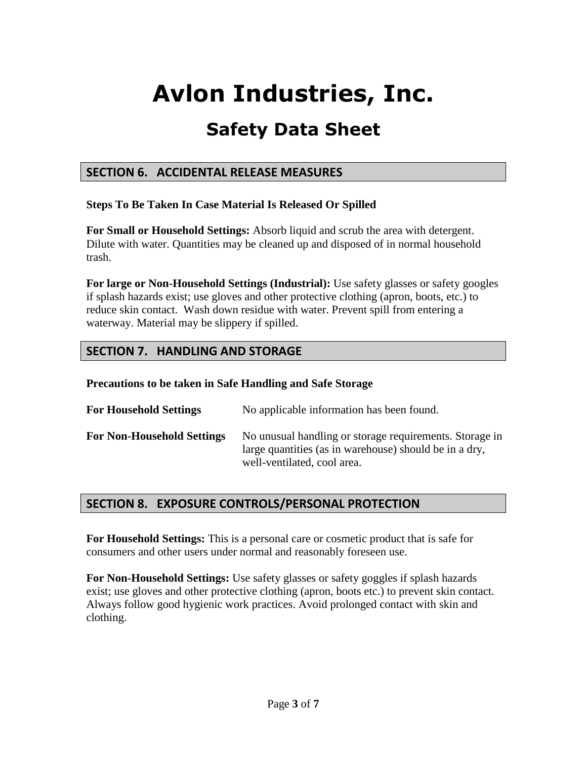# **Avlon Industries, Inc.**

# **Safety Data Sheet**

### **SECTION 6. ACCIDENTAL RELEASE MEASURES**

#### **Steps To Be Taken In Case Material Is Released Or Spilled**

**For Small or Household Settings:** Absorb liquid and scrub the area with detergent. Dilute with water. Quantities may be cleaned up and disposed of in normal household trash.

**For large or Non-Household Settings (Industrial):** Use safety glasses or safety googles if splash hazards exist; use gloves and other protective clothing (apron, boots, etc.) to reduce skin contact. Wash down residue with water. Prevent spill from entering a waterway. Material may be slippery if spilled.

# **SECTION 7. HANDLING AND STORAGE**

**Precautions to be taken in Safe Handling and Safe Storage**

| <b>For Household Settings</b>     | No applicable information has been found.                                                                                                        |
|-----------------------------------|--------------------------------------------------------------------------------------------------------------------------------------------------|
| <b>For Non-Household Settings</b> | No unusual handling or storage requirements. Storage in<br>large quantities (as in warehouse) should be in a dry,<br>well-ventilated, cool area. |

## **SECTION 8. EXPOSURE CONTROLS/PERSONAL PROTECTION**

**For Household Settings:** This is a personal care or cosmetic product that is safe for consumers and other users under normal and reasonably foreseen use.

**For Non-Household Settings:** Use safety glasses or safety goggles if splash hazards exist; use gloves and other protective clothing (apron, boots etc.) to prevent skin contact. Always follow good hygienic work practices. Avoid prolonged contact with skin and clothing.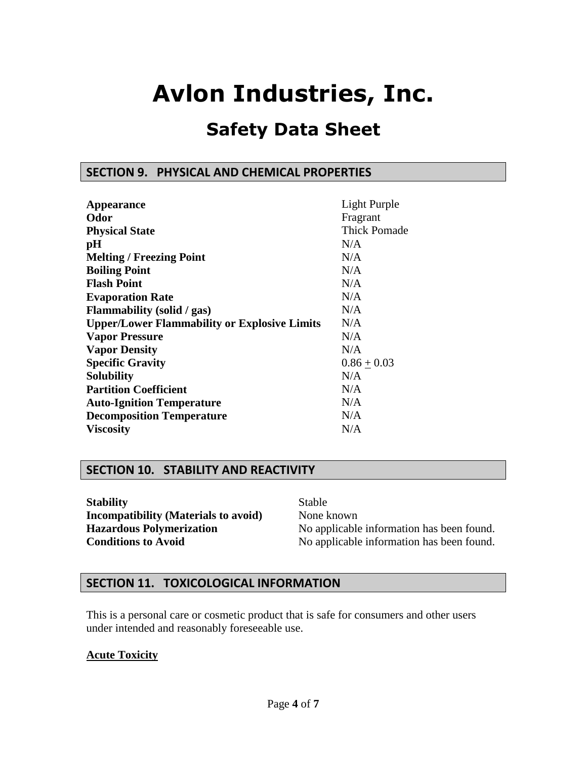# **Avlon Industries, Inc.**

# **Safety Data Sheet**

#### **SECTION 9. PHYSICAL AND CHEMICAL PROPERTIES**

| <b>Appearance</b>                                   | Light Purple        |
|-----------------------------------------------------|---------------------|
| Odor                                                | Fragrant            |
| <b>Physical State</b>                               | <b>Thick Pomade</b> |
| pH                                                  | N/A                 |
| <b>Melting / Freezing Point</b>                     | N/A                 |
| <b>Boiling Point</b>                                | N/A                 |
| <b>Flash Point</b>                                  | N/A                 |
| <b>Evaporation Rate</b>                             | N/A                 |
| Flammability (solid / gas)                          | N/A                 |
| <b>Upper/Lower Flammability or Explosive Limits</b> | N/A                 |
| <b>Vapor Pressure</b>                               | N/A                 |
| <b>Vapor Density</b>                                | N/A                 |
| <b>Specific Gravity</b>                             | $0.86 + 0.03$       |
| <b>Solubility</b>                                   | N/A                 |
| <b>Partition Coefficient</b>                        | N/A                 |
| <b>Auto-Ignition Temperature</b>                    | N/A                 |
| <b>Decomposition Temperature</b>                    | N/A                 |
| <b>Viscosity</b>                                    | N/A                 |

### **SECTION 10. STABILITY AND REACTIVITY**

**Stability** Stable **Incompatibility (Materials to avoid)** None known

**Hazardous Polymerization** No applicable information has been found. **Conditions to Avoid** No applicable information has been found.

#### **SECTION 11. TOXICOLOGICAL INFORMATION**

This is a personal care or cosmetic product that is safe for consumers and other users under intended and reasonably foreseeable use.

#### **Acute Toxicity**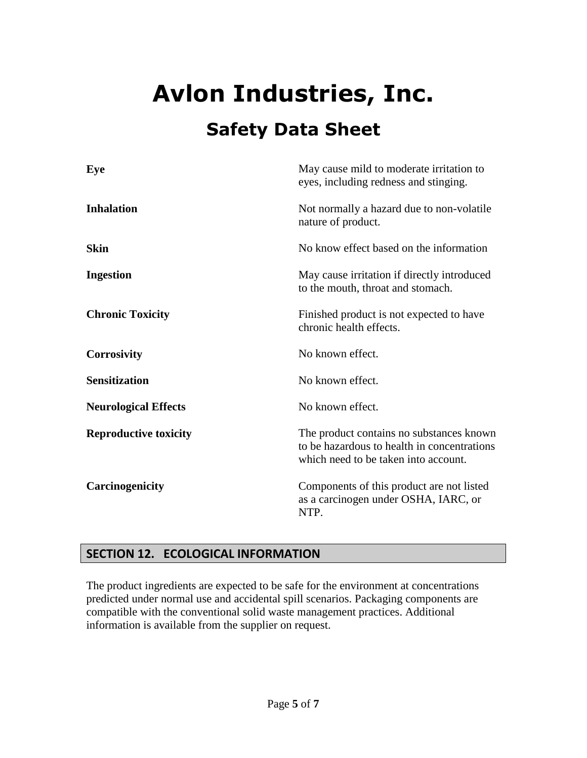| Eye                          | May cause mild to moderate irritation to<br>eyes, including redness and stinging.                                               |
|------------------------------|---------------------------------------------------------------------------------------------------------------------------------|
| <b>Inhalation</b>            | Not normally a hazard due to non-volatile<br>nature of product.                                                                 |
| <b>Skin</b>                  | No know effect based on the information                                                                                         |
| <b>Ingestion</b>             | May cause irritation if directly introduced<br>to the mouth, throat and stomach.                                                |
| <b>Chronic Toxicity</b>      | Finished product is not expected to have<br>chronic health effects.                                                             |
| <b>Corrosivity</b>           | No known effect.                                                                                                                |
| <b>Sensitization</b>         | No known effect.                                                                                                                |
| <b>Neurological Effects</b>  | No known effect.                                                                                                                |
| <b>Reproductive toxicity</b> | The product contains no substances known<br>to be hazardous to health in concentrations<br>which need to be taken into account. |
| Carcinogenicity              | Components of this product are not listed<br>as a carcinogen under OSHA, IARC, or<br>NTP.                                       |

# **SECTION 12. ECOLOGICAL INFORMATION**

The product ingredients are expected to be safe for the environment at concentrations predicted under normal use and accidental spill scenarios. Packaging components are compatible with the conventional solid waste management practices. Additional information is available from the supplier on request.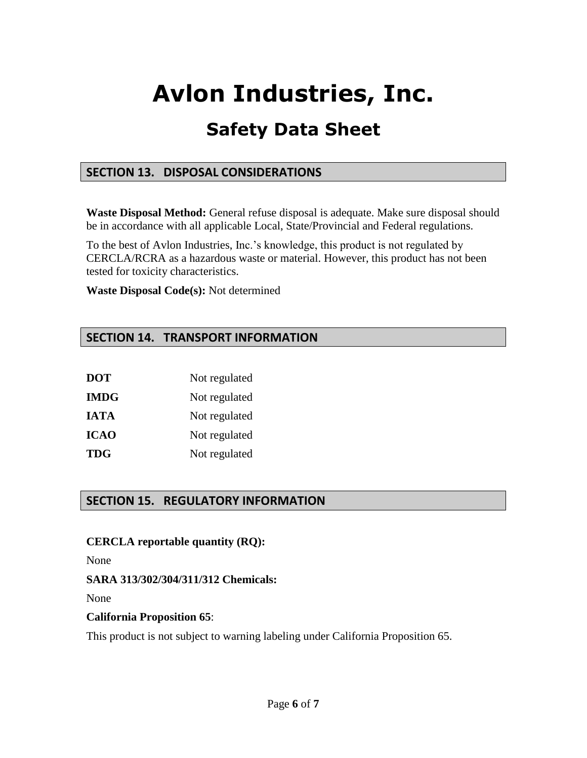# **Avlon Industries, Inc.**

# **Safety Data Sheet**

### **SECTION 13. DISPOSAL CONSIDERATIONS**

**Waste Disposal Method:** General refuse disposal is adequate. Make sure disposal should be in accordance with all applicable Local, State/Provincial and Federal regulations.

To the best of Avlon Industries, Inc.'s knowledge, this product is not regulated by CERCLA/RCRA as a hazardous waste or material. However, this product has not been tested for toxicity characteristics.

**Waste Disposal Code(s):** Not determined

## **SECTION 14. TRANSPORT INFORMATION**

| <b>DOT</b>  | Not regulated |
|-------------|---------------|
| <b>IMDG</b> | Not regulated |
| <b>IATA</b> | Not regulated |
| <b>ICAO</b> | Not regulated |
| <b>TDG</b>  | Not regulated |

# **SECTION 15. REGULATORY INFORMATION**

#### **CERCLA reportable quantity (RQ):**

None

#### **SARA 313/302/304/311/312 Chemicals:**

None

#### **California Proposition 65**:

This product is not subject to warning labeling under California Proposition 65.